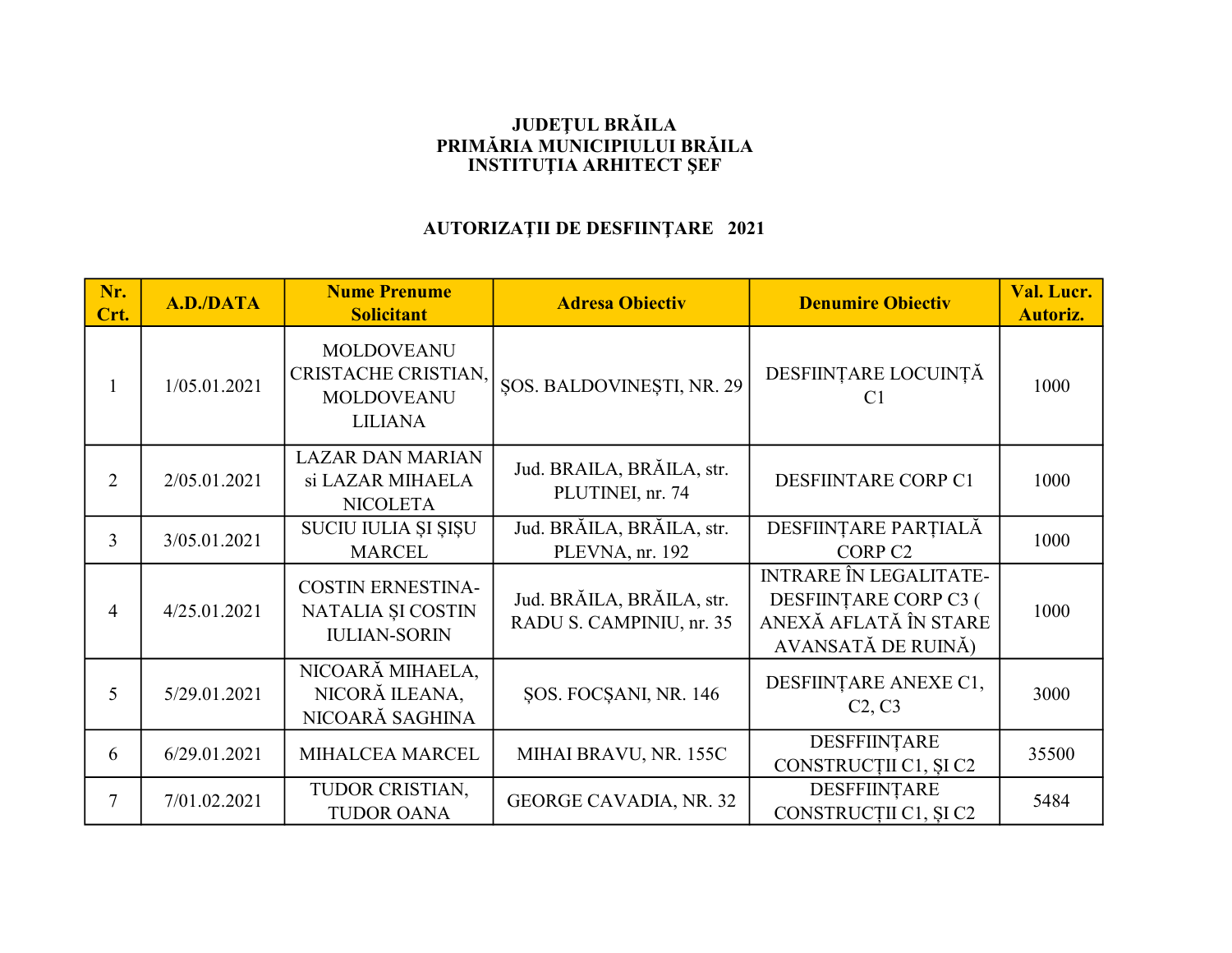## JUDEŢUL BRĂILA PRIMĂRIA MUNICIPIULUI BRĂILA INSTITUŢIA ARHITECT ŞEF

## AUTORIZAŢII DE DESFIINŢARE 2021

| Nr.<br>Crt.    | A.D./DATA    | <b>Nume Prenume</b><br><b>Solicitant</b>                                        | <b>Adresa Obiectiv</b>                                | <b>Denumire Obiectiv</b>                                                                              | Val. Lucr.<br><b>Autoriz.</b> |
|----------------|--------------|---------------------------------------------------------------------------------|-------------------------------------------------------|-------------------------------------------------------------------------------------------------------|-------------------------------|
|                | 1/05.01.2021 | <b>MOLDOVEANU</b><br>CRISTACHE CRISTIAN,<br><b>MOLDOVEANU</b><br><b>LILIANA</b> | <b>SOS. BALDOVINESTI, NR. 29</b>                      | DESFIINȚARE LOCUINȚĂ<br>C <sub>1</sub>                                                                | 1000                          |
| $\overline{2}$ | 2/05.01.2021 | <b>LAZAR DAN MARIAN</b><br>si LAZAR MIHAELA<br><b>NICOLETA</b>                  | Jud. BRAILA, BRĂILA, str.<br>PLUTINEI, nr. 74         | <b>DESFIINTARE CORP C1</b>                                                                            | 1000                          |
| $\overline{3}$ | 3/05.01.2021 | SUCIU IULIA ȘI ȘIȘU<br><b>MARCEL</b>                                            | Jud. BRĂILA, BRĂILA, str.<br>PLEVNA, nr. 192          | DESFIINȚARE PARȚIALĂ<br>CORP <sub>C2</sub>                                                            | 1000                          |
| 4              | 4/25.01.2021 | <b>COSTIN ERNESTINA-</b><br>NATALIA ȘI COSTIN<br><b>IULIAN-SORIN</b>            | Jud. BRĂILA, BRĂILA, str.<br>RADU S. CAMPINIU, nr. 35 | <b>INTRARE ÎN LEGALITATE-</b><br>DESFIINȚARE CORP C3 (<br>ANEXĂ AFLATĂ ÎN STARE<br>AVANSATĂ DE RUINĂ) | 1000                          |
| 5              | 5/29.01.2021 | NICOARĂ MIHAELA,<br>NICORĂ ILEANA,<br>NICOARĂ SAGHINA                           | ŞOS. FOCŞANI, NR. 146                                 | DESFIINȚARE ANEXE C1,<br>C <sub>2</sub> , C <sub>3</sub>                                              | 3000                          |
| 6              | 6/29.01.2021 | MIHALCEA MARCEL                                                                 | MIHAI BRAVU, NR. 155C                                 | DESFFIINȚARE<br>CONSTRUCȚII C1, ȘI C2                                                                 | 35500                         |
| 7              | 7/01.02.2021 | TUDOR CRISTIAN,<br><b>TUDOR OANA</b>                                            | <b>GEORGE CAVADIA, NR. 32</b>                         | DESFFIINȚARE<br>CONSTRUCȚII C1, ȘI C2                                                                 | 5484                          |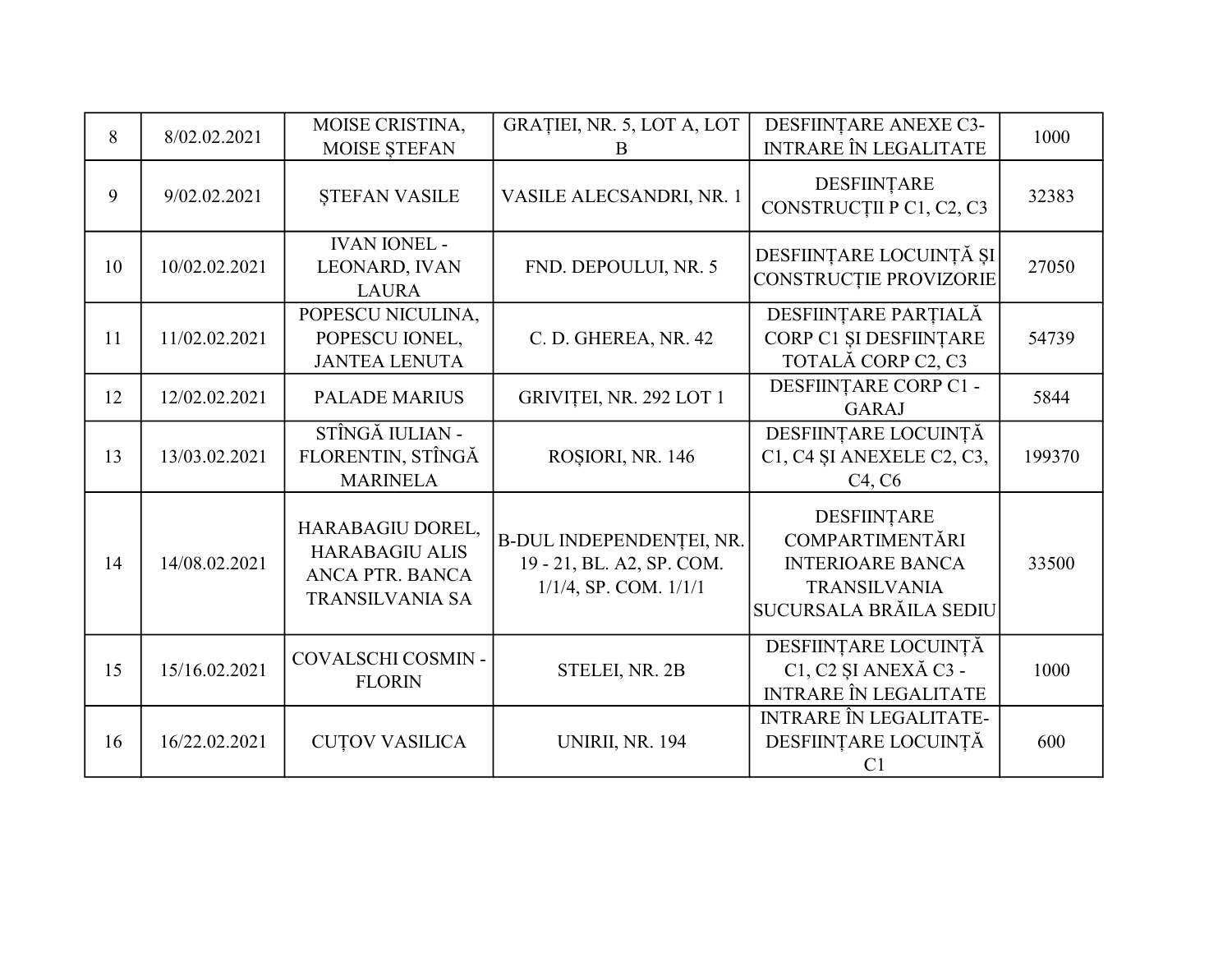| 8  | 8/02.02.2021  | MOISE CRISTINA,<br>MOISE STEFAN                                                        | GRAȚIEI, NR. 5, LOT A, LOT<br>B                                                     | DESFIINȚARE ANEXE C3-<br><b>INTRARE ÎN LEGALITATE</b>                                                                    | 1000   |
|----|---------------|----------------------------------------------------------------------------------------|-------------------------------------------------------------------------------------|--------------------------------------------------------------------------------------------------------------------------|--------|
| 9  | 9/02.02.2021  | <b>STEFAN VASILE</b>                                                                   | VASILE ALECSANDRI, NR. 1                                                            | DESFIINȚARE<br>CONSTRUCȚII P C1, C2, C3                                                                                  | 32383  |
| 10 | 10/02.02.2021 | <b>IVAN IONEL -</b><br>LEONARD, IVAN<br><b>LAURA</b>                                   | FND. DEPOULUI, NR. 5                                                                | DESFIINȚARE LOCUINȚĂ ȘI<br>CONSTRUCȚIE PROVIZORIE                                                                        | 27050  |
| 11 | 11/02.02.2021 | POPESCU NICULINA,<br>POPESCU IONEL,<br><b>JANTEA LENUTA</b>                            | C. D. GHEREA, NR. 42                                                                | DESFIINȚARE PARȚIALĂ<br>CORP C1 ȘI DESFIINȚARE<br>TOTALĂ CORP C2, C3                                                     | 54739  |
| 12 | 12/02.02.2021 | <b>PALADE MARIUS</b>                                                                   | GRIVIȚEI, NR. 292 LOT 1                                                             | DESFIINȚARE CORP C1 -<br><b>GARAJ</b>                                                                                    | 5844   |
| 13 | 13/03.02.2021 | STÎNGĂ IULIAN -<br>FLORENTIN, STÎNGĂ<br><b>MARINELA</b>                                | ROȘIORI, NR. 146                                                                    | DESFIINȚARE LOCUINȚĂ<br>C1, C4 ȘI ANEXELE C2, C3,<br>C <sub>4</sub> , C <sub>6</sub>                                     | 199370 |
| 14 | 14/08.02.2021 | HARABAGIU DOREL,<br><b>HARABAGIU ALIS</b><br>ANCA PTR. BANCA<br><b>TRANSILVANIA SA</b> | B-DUL INDEPENDENȚEI, NR.<br>19 - 21, BL. A2, SP. COM.<br>$1/1/4$ , SP. COM. $1/1/1$ | DESFIINȚARE<br><b>COMPARTIMENTĂRI</b><br><b>INTERIOARE BANCA</b><br><b>TRANSILVANIA</b><br><b>SUCURSALA BRĂILA SEDIU</b> | 33500  |
| 15 | 15/16.02.2021 | COVALSCHI COSMIN -<br><b>FLORIN</b>                                                    | STELEI, NR. 2B                                                                      | DESFIINȚARE LOCUINȚĂ<br>C1, C2 ȘI ANEXĂ C3 -<br>INTRARE ÎN LEGALITATE                                                    | 1000   |
| 16 | 16/22.02.2021 | <b>CUTOV VASILICA</b>                                                                  | <b>UNIRII, NR. 194</b>                                                              | <b>INTRARE ÎN LEGALITATE-</b><br>DESFIINȚARE LOCUINȚĂ<br>C <sub>1</sub>                                                  | 600    |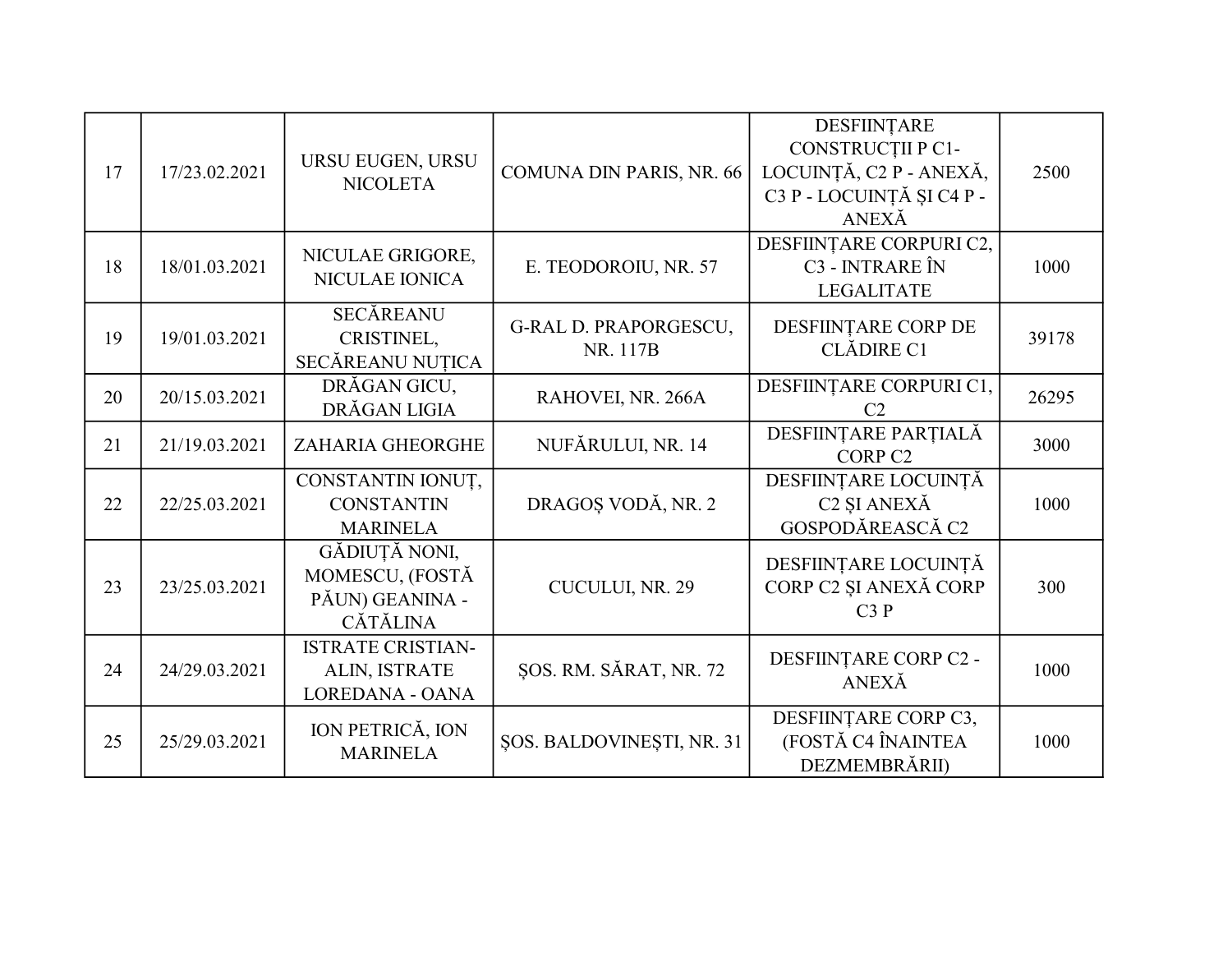| 17 | 17/23.02.2021 | URSU EUGEN, URSU<br><b>NICOLETA</b>                                    | COMUNA DIN PARIS, NR. 66          | DESFIINȚARE<br>CONSTRUCȚII P C1-<br>LOCUINȚĂ, C2 P - ANEXĂ,<br>C3 P - LOCUINȚĂ ȘI C4 P -<br>ANEXĂ | 2500  |
|----|---------------|------------------------------------------------------------------------|-----------------------------------|---------------------------------------------------------------------------------------------------|-------|
| 18 | 18/01.03.2021 | NICULAE GRIGORE,<br>NICULAE IONICA                                     | E. TEODOROIU, NR. 57              | DESFIINȚARE CORPURI C2,<br>C3 - INTRARE ÎN<br><b>LEGALITATE</b>                                   | 1000  |
| 19 | 19/01.03.2021 | <b>SECĂREANU</b><br>CRISTINEL,<br>SECĂREANU NUȚICA                     | G-RAL D. PRAPORGESCU,<br>NR. 117B | DESFIINȚARE CORP DE<br><b>CLĂDIRE C1</b>                                                          | 39178 |
| 20 | 20/15.03.2021 | DRĂGAN GICU,<br>DRĂGAN LIGIA                                           | RAHOVEI, NR. 266A                 | DESFIINȚARE CORPURI C1,<br>C <sub>2</sub>                                                         | 26295 |
| 21 | 21/19.03.2021 | ZAHARIA GHEORGHE                                                       | NUFĂRULUI, NR. 14                 | DESFIINȚARE PARȚIALĂ<br>CORP <sub>C2</sub>                                                        | 3000  |
| 22 | 22/25.03.2021 | CONSTANTIN IONUȚ,<br><b>CONSTANTIN</b><br><b>MARINELA</b>              | DRAGOȘ VODĂ, NR. 2                | DESFIINȚARE LOCUINȚĂ<br>C <sub>2</sub> ŞI ANEXĂ<br>GOSPODĂREASCĂ C2                               | 1000  |
| 23 | 23/25.03.2021 | GĂDIUȚĂ NONI,<br>MOMESCU, (FOSTĂ<br>PĂUN) GEANINA -<br><b>CĂTĂLINA</b> | CUCULUI, NR. 29                   | DESFIINȚARE LOCUINȚĂ<br>CORP C2 ȘI ANEXĂ CORP<br>C3P                                              | 300   |
| 24 | 24/29.03.2021 | <b>ISTRATE CRISTIAN-</b><br>ALIN, ISTRATE<br>LOREDANA - OANA           | ŞOS. RM. SĂRAT, NR. 72            | DESFIINȚARE CORP C2 -<br><b>ANEXĂ</b>                                                             | 1000  |
| 25 | 25/29.03.2021 | ION PETRICĂ, ION<br><b>MARINELA</b>                                    | ŞOS. BALDOVINEŞTI, NR. 31         | DESFIINȚARE CORP C3,<br>(FOSTĂ C4 ÎNAINTEA<br>DEZMEMBRĂRII)                                       | 1000  |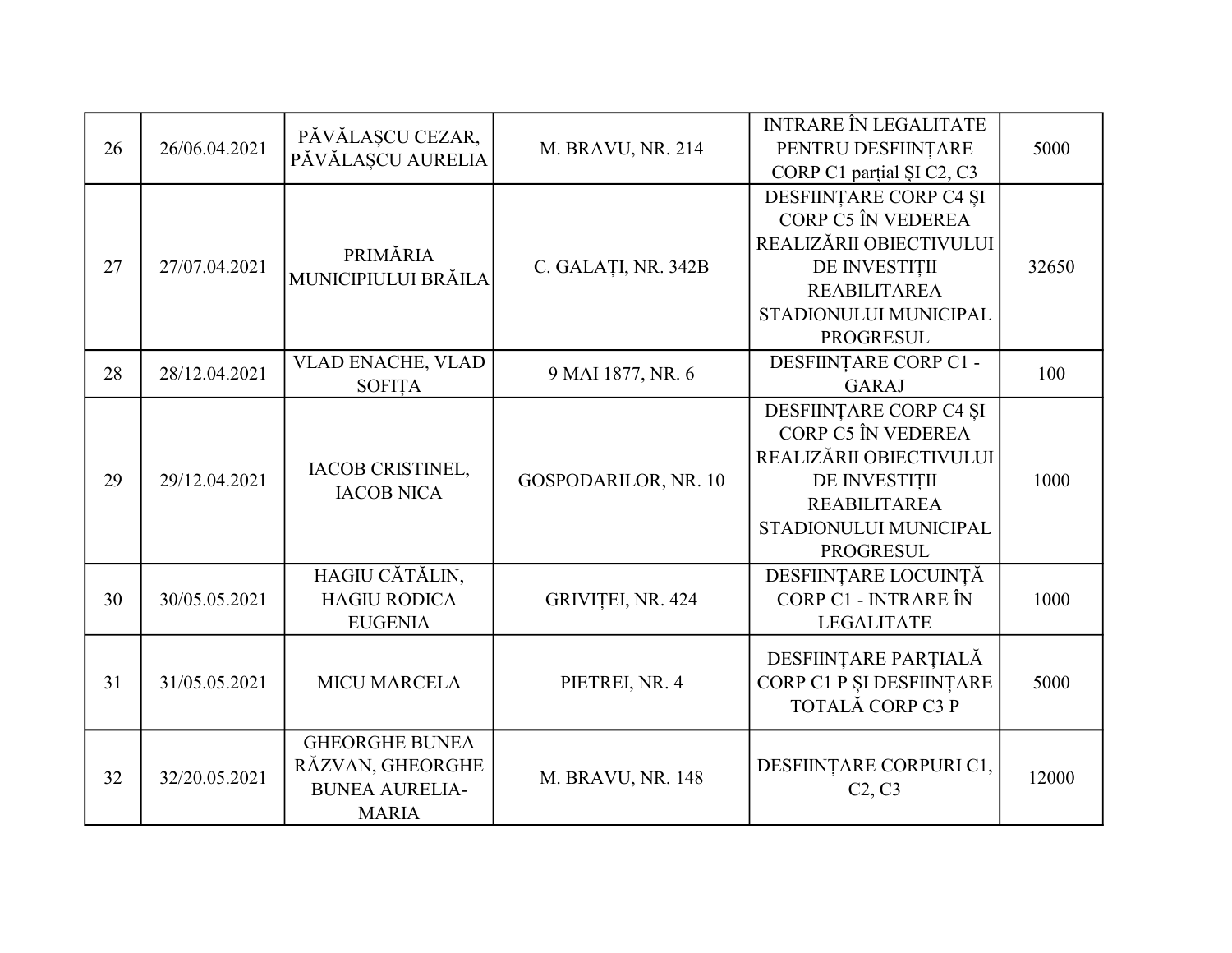| 26 | 26/06.04.2021 | PĂVĂLAȘCU CEZAR,      |                      | <b>INTRARE ÎN LEGALITATE</b>                    | 5000  |
|----|---------------|-----------------------|----------------------|-------------------------------------------------|-------|
|    |               | PĂVĂLAȘCU AURELIA     | M. BRAVU, NR. 214    | PENTRU DESFIINȚARE<br>CORP C1 partial SI C2, C3 |       |
|    |               |                       |                      | DESFIINȚARE CORP C4 ȘI                          |       |
|    |               |                       |                      | CORP C5 ÎN VEDEREA                              |       |
|    |               |                       |                      | REALIZĂRII OBIECTIVULUI                         |       |
| 27 | 27/07.04.2021 | PRIMĂRIA              | C. GALAȚI, NR. 342B  | DE INVESTIȚII                                   | 32650 |
|    |               | MUNICIPIULUI BRĂILA   |                      | <b>REABILITAREA</b>                             |       |
|    |               |                       |                      | STADIONULUI MUNICIPAL                           |       |
|    |               |                       |                      | <b>PROGRESUL</b>                                |       |
| 28 | 28/12.04.2021 | VLAD ENACHE, VLAD     | 9 MAI 1877, NR. 6    | DESFIINȚARE CORP C1 -                           | 100   |
|    |               | <b>SOFITA</b>         |                      | <b>GARAJ</b>                                    |       |
|    |               |                       |                      | DESFIINȚARE CORP C4 ȘI                          |       |
|    |               |                       |                      | CORP C5 ÎN VEDEREA                              |       |
|    |               | IACOB CRISTINEL,      |                      | REALIZĂRII OBIECTIVULUI                         |       |
| 29 | 29/12.04.2021 | <b>IACOB NICA</b>     | GOSPODARILOR, NR. 10 | DE INVESTIȚII                                   | 1000  |
|    |               |                       |                      | <b>REABILITAREA</b>                             |       |
|    |               |                       |                      | STADIONULUI MUNICIPAL                           |       |
|    |               |                       |                      | <b>PROGRESUL</b>                                |       |
|    |               | HAGIU CĂTĂLIN,        |                      | DESFIINȚARE LOCUINȚĂ                            |       |
| 30 | 30/05.05.2021 | <b>HAGIU RODICA</b>   | GRIVIȚEI, NR. 424    | CORP C1 - INTRARE ÎN                            | 1000  |
|    |               | <b>EUGENIA</b>        |                      | <b>LEGALITATE</b>                               |       |
|    |               |                       |                      | DESFIINȚARE PARȚIALĂ                            |       |
| 31 | 31/05.05.2021 | <b>MICU MARCELA</b>   | PIETREI, NR. 4       | CORP C1 P ȘI DESFIINȚARE                        | 5000  |
|    |               |                       |                      | TOTALĂ CORP C3 P                                |       |
|    |               | <b>GHEORGHE BUNEA</b> |                      |                                                 |       |
|    |               | RĂZVAN, GHEORGHE      |                      | DESFIINȚARE CORPURI C1,                         |       |
| 32 | 32/20.05.2021 | <b>BUNEA AURELIA-</b> | M. BRAVU, NR. 148    | C2, C3                                          | 12000 |
|    |               | <b>MARIA</b>          |                      |                                                 |       |
|    |               |                       |                      |                                                 |       |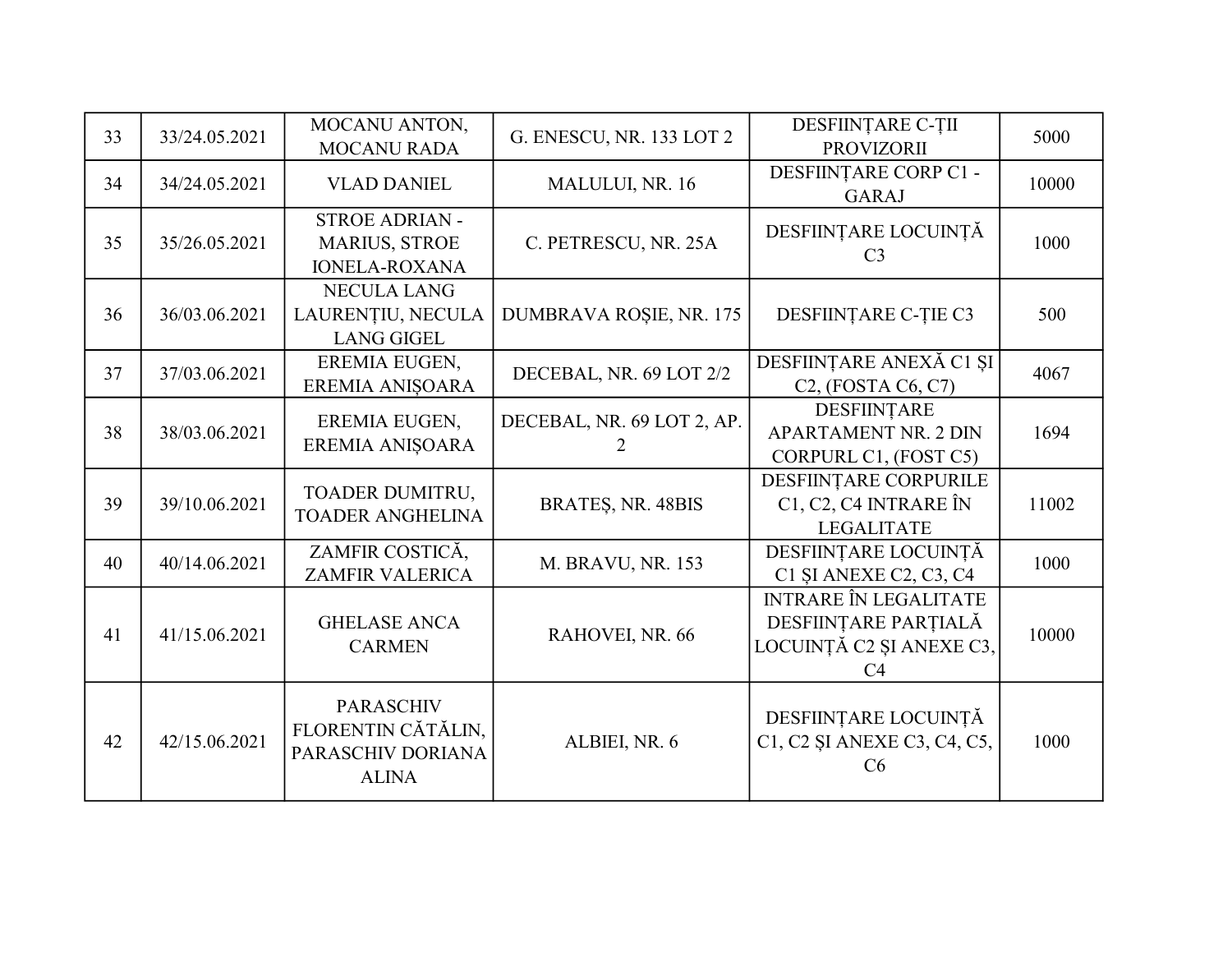| 33 | 33/24.05.2021 | MOCANU ANTON,<br><b>MOCANU RADA</b>                                         | G. ENESCU, NR. 133 LOT 2        | DESFIINȚARE C-ȚII<br><b>PROVIZORII</b>                                                 | 5000  |
|----|---------------|-----------------------------------------------------------------------------|---------------------------------|----------------------------------------------------------------------------------------|-------|
| 34 | 34/24.05.2021 | <b>VLAD DANIEL</b>                                                          | MALULUI, NR. 16                 | DESFIINȚARE CORP C1 -<br><b>GARAJ</b>                                                  | 10000 |
| 35 | 35/26.05.2021 | <b>STROE ADRIAN -</b><br><b>MARIUS, STROE</b><br><b>IONELA-ROXANA</b>       | C. PETRESCU, NR. 25A            | DESFIINȚARE LOCUINȚĂ<br>C <sub>3</sub>                                                 | 1000  |
| 36 | 36/03.06.2021 | <b>NECULA LANG</b><br>LAURENȚIU, NECULA<br><b>LANG GIGEL</b>                | DUMBRAVA ROȘIE, NR. 175         | DESFIINTARE C-TIE C3                                                                   | 500   |
| 37 | 37/03.06.2021 | EREMIA EUGEN,<br>EREMIA ANIŞOARA                                            | DECEBAL, NR. 69 LOT 2/2         | DESFIINȚARE ANEXĂ C1 ȘI<br>$C2$ , (FOSTA $C6$ , $C7$ )                                 | 4067  |
| 38 | 38/03.06.2021 | EREMIA EUGEN,<br>EREMIA ANIŞOARA                                            | DECEBAL, NR. 69 LOT 2, AP.<br>2 | DESFIINȚARE<br><b>APARTAMENT NR. 2 DIN</b><br>CORPURL C1, (FOST C5)                    | 1694  |
| 39 | 39/10.06.2021 | TOADER DUMITRU,<br><b>TOADER ANGHELINA</b>                                  | BRATES, NR. 48BIS               | DESFIINȚARE CORPURILE<br>C1, C2, C4 INTRARE ÎN<br><b>LEGALITATE</b>                    | 11002 |
| 40 | 40/14.06.2021 | ZAMFIR COSTICĂ,<br><b>ZAMFIR VALERICA</b>                                   | M. BRAVU, NR. 153               | DESFIINȚARE LOCUINȚĂ<br>C1 ŞI ANEXE C2, C3, C4                                         | 1000  |
| 41 | 41/15.06.2021 | <b>GHELASE ANCA</b><br><b>CARMEN</b>                                        | RAHOVEI, NR. 66                 | <b>INTRARE ÎN LEGALITATE</b><br>DESFIINȚARE PARȚIALĂ<br>LOCUINȚĂ C2 ȘI ANEXE C3,<br>C4 | 10000 |
| 42 | 42/15.06.2021 | <b>PARASCHIV</b><br>FLORENTIN CĂTĂLIN,<br>PARASCHIV DORIANA<br><b>ALINA</b> | ALBIEI, NR. 6                   | DESFIINȚARE LOCUINȚĂ<br>C1, C2 ȘI ANEXE C3, C4, C5,<br>C6                              | 1000  |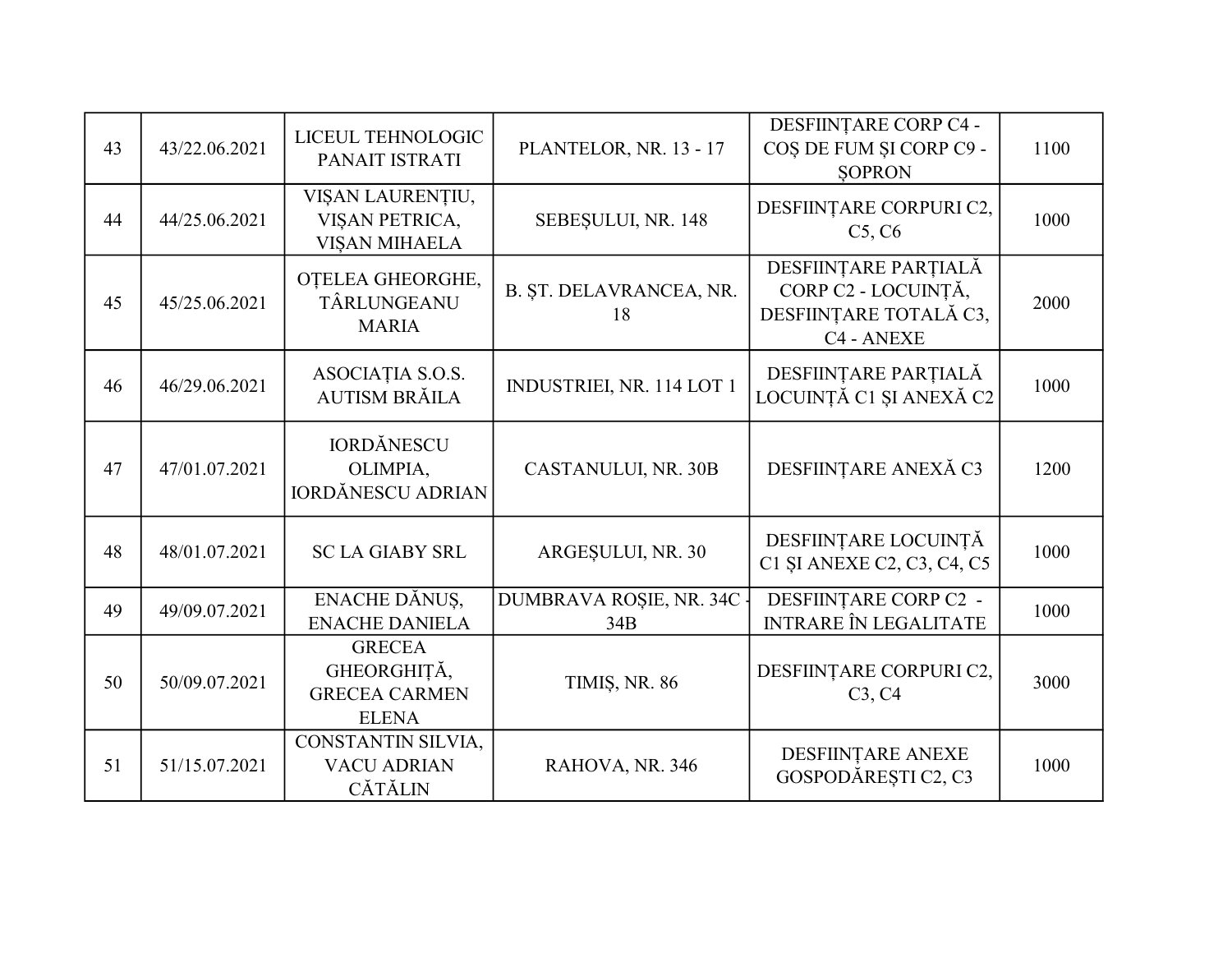| 43 | 43/22.06.2021 | LICEUL TEHNOLOGIC<br>PANAIT ISTRATI                                  | PLANTELOR, NR. 13 - 17           | DESFIINȚARE CORP C4 -<br>COȘ DE FUM ȘI CORP C9 -<br><b>SOPRON</b>                   | 1100 |
|----|---------------|----------------------------------------------------------------------|----------------------------------|-------------------------------------------------------------------------------------|------|
| 44 | 44/25.06.2021 | VIȘAN LAURENȚIU,<br>VIȘAN PETRICA,<br><b>VISAN MIHAELA</b>           | SEBEȘULUI, NR. 148               | DESFIINȚARE CORPURI C2,<br>C5, C6                                                   | 1000 |
| 45 | 45/25.06.2021 | OTELEA GHEORGHE,<br>TÂRLUNGEANU<br><b>MARIA</b>                      | B. ȘT. DELAVRANCEA, NR.<br>18    | DESFIINȚARE PARȚIALĂ<br>CORP C2 - LOCUINȚĂ,<br>DESFIINȚARE TOTALĂ C3,<br>C4 - ANEXE | 2000 |
| 46 | 46/29.06.2021 | ASOCIAȚIA S.O.S.<br><b>AUTISM BRĂILA</b>                             | INDUSTRIEI, NR. 114 LOT 1        | DESFIINȚARE PARȚIALĂ<br>LOCUINȚĂ C1 ȘI ANEXĂ C2                                     | 1000 |
| 47 | 47/01.07.2021 | <b>IORDĂNESCU</b><br>OLIMPIA,<br><b>IORDĂNESCU ADRIAN</b>            | CASTANULUI, NR. 30B              | DESFIINȚARE ANEXĂ C3                                                                | 1200 |
| 48 | 48/01.07.2021 | <b>SC LA GIABY SRL</b>                                               | ARGESULUI, NR. 30                | DESFIINȚARE LOCUINȚĂ<br>C1 SI ANEXE C2, C3, C4, C5                                  | 1000 |
| 49 | 49/09.07.2021 | ENACHE DĂNUS,<br><b>ENACHE DANIELA</b>                               | DUMBRAVA ROȘIE, NR. 34C -<br>34B | DESFIINȚARE CORP C2 -<br><b>INTRARE ÎN LEGALITATE</b>                               | 1000 |
| 50 | 50/09.07.2021 | <b>GRECEA</b><br>GHEORGHIȚĂ,<br><b>GRECEA CARMEN</b><br><b>ELENA</b> | <b>TIMIȘ, NR. 86</b>             | DESFIINȚARE CORPURI C2,<br>C3, C4                                                   | 3000 |
| 51 | 51/15.07.2021 | CONSTANTIN SILVIA,<br><b>VACU ADRIAN</b><br><b>CĂTĂLIN</b>           | RAHOVA, NR. 346                  | DESFIINTARE ANEXE<br>GOSPODĂREȘTI C2, C3                                            | 1000 |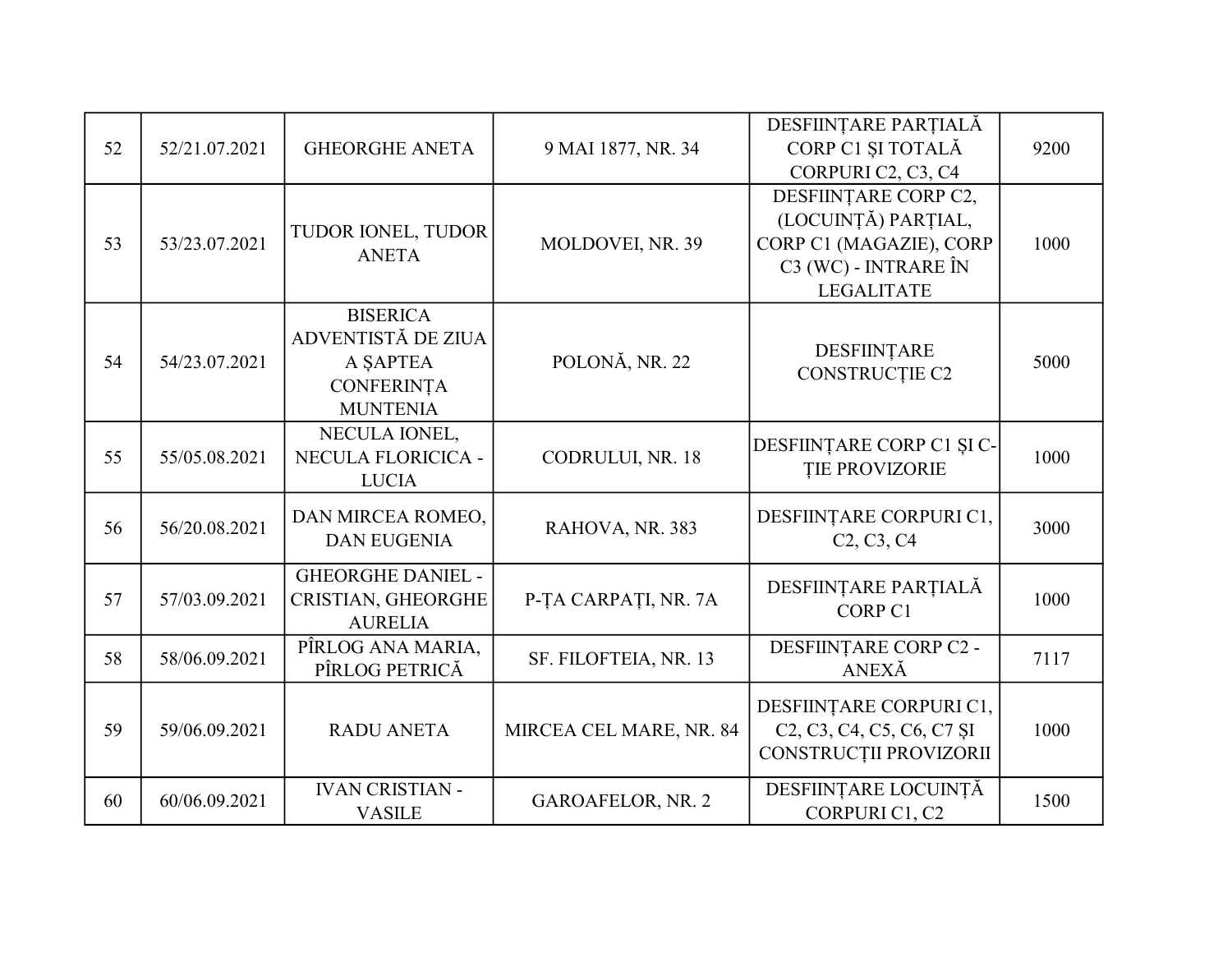|    |               |                                      |                          | DESFIINȚARE PARȚIALĂ                                                                                               |      |
|----|---------------|--------------------------------------|--------------------------|--------------------------------------------------------------------------------------------------------------------|------|
| 52 | 52/21.07.2021 | <b>GHEORGHE ANETA</b>                | 9 MAI 1877, NR. 34       | CORP C1 ȘI TOTALĂ                                                                                                  | 9200 |
|    |               |                                      |                          | CORPURI C2, C3, C4                                                                                                 |      |
|    |               |                                      |                          | DESFIINTARE CORP C2,                                                                                               |      |
|    |               | TUDOR IONEL, TUDOR                   |                          | (LOCUINȚĂ) PARȚIAL,                                                                                                |      |
| 53 | 53/23.07.2021 | <b>ANETA</b>                         | MOLDOVEI, NR. 39         | CORP C1 (MAGAZIE), CORP                                                                                            | 1000 |
|    |               |                                      |                          | C3 (WC) - INTRARE ÎN                                                                                               |      |
|    |               |                                      |                          | <b>LEGALITATE</b>                                                                                                  |      |
|    |               | <b>BISERICA</b>                      |                          |                                                                                                                    |      |
|    |               | ADVENTISTĂ DE ZIUA                   |                          | DESFIINTARE                                                                                                        |      |
| 54 | 54/23.07.2021 | A SAPTEA                             | POLONĂ, NR. 22           | CONSTRUCȚIE C2                                                                                                     | 5000 |
|    |               | <b>CONFERINȚA</b>                    |                          |                                                                                                                    |      |
|    |               | <b>MUNTENIA</b>                      |                          |                                                                                                                    |      |
|    |               | NECULA IONEL,                        |                          | DESFIINȚARE CORP C1 ȘI C-                                                                                          |      |
| 55 | 55/05.08.2021 | NECULA FLORICICA -                   | CODRULUI, NR. 18         | <b>TIE PROVIZORIE</b>                                                                                              | 1000 |
|    |               | <b>LUCIA</b>                         |                          |                                                                                                                    |      |
|    |               | DAN MIRCEA ROMEO,                    |                          | DESFIINȚARE CORPURI C1,                                                                                            |      |
| 56 | 56/20.08.2021 | <b>DAN EUGENIA</b>                   | RAHOVA, NR. 383          | C <sub>2</sub> , C <sub>3</sub> , C <sub>4</sub>                                                                   | 3000 |
|    |               |                                      |                          |                                                                                                                    |      |
|    |               | <b>GHEORGHE DANIEL -</b>             |                          | DESFIINȚARE PARȚIALĂ                                                                                               |      |
| 57 | 57/03.09.2021 | CRISTIAN, GHEORGHE<br><b>AURELIA</b> | P-TA CARPATI, NR. 7A     | CORP <sub>C1</sub>                                                                                                 | 1000 |
|    |               | PÎRLOG ANA MARIA,                    |                          | DESFIINȚARE CORP C2 -                                                                                              |      |
| 58 | 58/06.09.2021 | PÎRLOG PETRICĂ                       | SF. FILOFTEIA, NR. 13    | ANEXĂ                                                                                                              | 7117 |
|    |               |                                      |                          |                                                                                                                    |      |
|    |               |                                      |                          | DESFIINȚARE CORPURI C1,                                                                                            |      |
| 59 | 59/06.09.2021 | <b>RADU ANETA</b>                    | MIRCEA CEL MARE, NR. 84  | C <sub>2</sub> , C <sub>3</sub> , C <sub>4</sub> , C <sub>5</sub> , C <sub>6</sub> , C <sub>7</sub> S <sub>I</sub> | 1000 |
|    |               |                                      |                          | CONSTRUCȚII PROVIZORII                                                                                             |      |
|    |               | <b>IVAN CRISTIAN -</b>               |                          | DESFIINȚARE LOCUINȚĂ                                                                                               |      |
| 60 | 60/06.09.2021 | <b>VASILE</b>                        | <b>GAROAFELOR, NR. 2</b> | CORPURI C1, C2                                                                                                     | 1500 |
|    |               |                                      |                          |                                                                                                                    |      |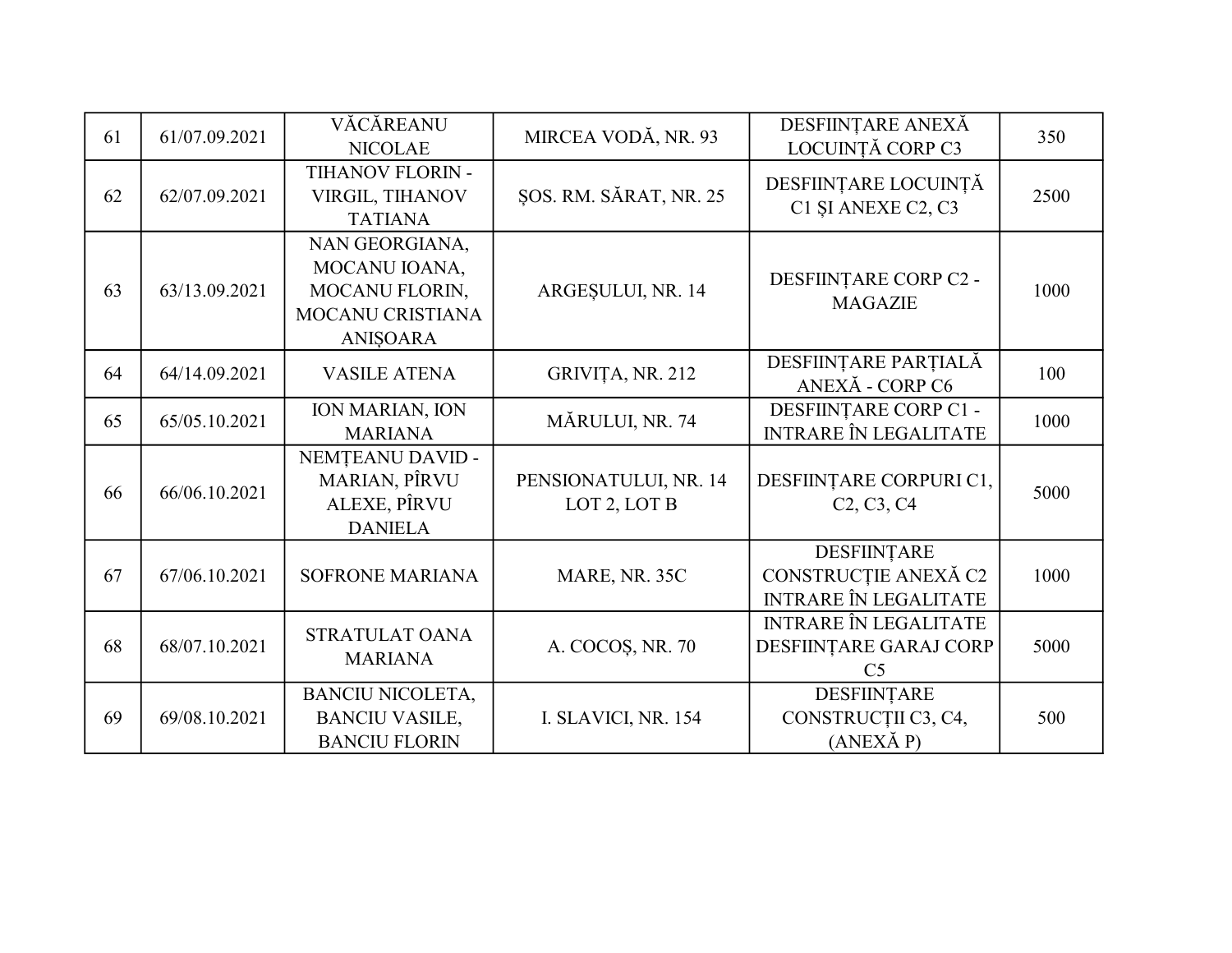| 61 | 61/07.09.2021 | VĂCĂREANU<br><b>NICOLAE</b>                                                       | MIRCEA VODĂ, NR. 93                   | DESFIINȚARE ANEXĂ<br>LOCUINTĂ CORP C3                                       | 350  |
|----|---------------|-----------------------------------------------------------------------------------|---------------------------------------|-----------------------------------------------------------------------------|------|
| 62 | 62/07.09.2021 | TIHANOV FLORIN -<br>VIRGIL, TIHANOV<br><b>TATIANA</b>                             | ŞOS. RM. SĂRAT, NR. 25                | DESFIINȚARE LOCUINȚĂ<br>C1 SI ANEXE C2, C3                                  | 2500 |
| 63 | 63/13.09.2021 | NAN GEORGIANA,<br>MOCANU IOANA,<br>MOCANU FLORIN,<br>MOCANU CRISTIANA<br>ANIŞOARA | ARGESULUI, NR. 14                     | DESFIINȚARE CORP C2 -<br><b>MAGAZIE</b>                                     | 1000 |
| 64 | 64/14.09.2021 | <b>VASILE ATENA</b>                                                               | GRIVIȚA, NR. 212                      | DESFIINȚARE PARȚIALĂ<br>ANEXĂ - CORP C6                                     | 100  |
| 65 | 65/05.10.2021 | <b>ION MARIAN, ION</b><br><b>MARIANA</b>                                          | MĂRULUI, NR. 74                       | DESFIINȚARE CORP C1 -<br><b>INTRARE ÎN LEGALITATE</b>                       | 1000 |
| 66 | 66/06.10.2021 | NEMȚEANU DAVID -<br><b>MARIAN, PÎRVU</b><br>ALEXE, PÎRVU<br><b>DANIELA</b>        | PENSIONATULUI, NR. 14<br>LOT 2, LOT B | DESFIINȚARE CORPURI C1,<br>C <sub>2</sub> , C <sub>3</sub> , C <sub>4</sub> | 5000 |
| 67 | 67/06.10.2021 | <b>SOFRONE MARIANA</b>                                                            | MARE, NR. 35C                         | DESFIINȚARE<br>CONSTRUCȚIE ANEXĂ C2<br><b>INTRARE ÎN LEGALITATE</b>         | 1000 |
| 68 | 68/07.10.2021 | STRATULAT OANA<br><b>MARIANA</b>                                                  | A. COCOS, NR. 70                      | <b>INTRARE ÎN LEGALITATE</b><br>DESFIINȚARE GARAJ CORP<br>C <sub>5</sub>    | 5000 |
| 69 | 69/08.10.2021 | <b>BANCIU NICOLETA,</b><br><b>BANCIU VASILE,</b><br><b>BANCIU FLORIN</b>          | I. SLAVICI, NR. 154                   | DESFIINTARE<br>CONSTRUCȚII C3, C4,<br>$(ANEX\check{A}P)$                    | 500  |